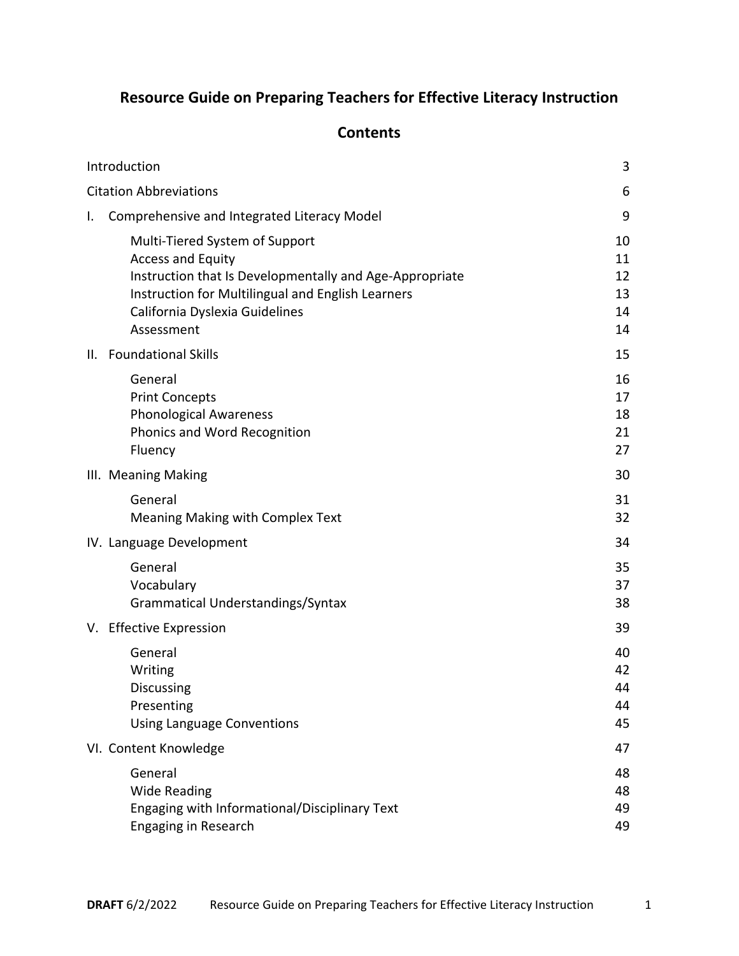## **Resource Guide on Preparing Teachers for Effective Literacy Instruction**

## **Contents**

| Introduction |                                                                                                                                                                                                                            | 3                                |
|--------------|----------------------------------------------------------------------------------------------------------------------------------------------------------------------------------------------------------------------------|----------------------------------|
|              | <b>Citation Abbreviations</b>                                                                                                                                                                                              | 6                                |
| I.           | Comprehensive and Integrated Literacy Model                                                                                                                                                                                | 9                                |
|              | Multi-Tiered System of Support<br><b>Access and Equity</b><br>Instruction that Is Developmentally and Age-Appropriate<br>Instruction for Multilingual and English Learners<br>California Dyslexia Guidelines<br>Assessment | 10<br>11<br>12<br>13<br>14<br>14 |
|              | II. Foundational Skills                                                                                                                                                                                                    | 15                               |
|              | General<br><b>Print Concepts</b><br><b>Phonological Awareness</b><br>Phonics and Word Recognition<br>Fluency                                                                                                               | 16<br>17<br>18<br>21<br>27       |
|              | III. Meaning Making                                                                                                                                                                                                        | 30                               |
|              | General<br>Meaning Making with Complex Text                                                                                                                                                                                | 31<br>32                         |
|              | IV. Language Development                                                                                                                                                                                                   | 34                               |
|              | General<br>Vocabulary<br>Grammatical Understandings/Syntax                                                                                                                                                                 | 35<br>37<br>38                   |
|              | V. Effective Expression                                                                                                                                                                                                    | 39                               |
|              | General<br>Writing<br>Discussing<br>Presenting<br><b>Using Language Conventions</b>                                                                                                                                        | 40<br>42<br>44<br>44<br>45       |
|              | VI. Content Knowledge                                                                                                                                                                                                      | 47                               |
|              | General<br><b>Wide Reading</b><br>Engaging with Informational/Disciplinary Text<br><b>Engaging in Research</b>                                                                                                             | 48<br>48<br>49<br>49             |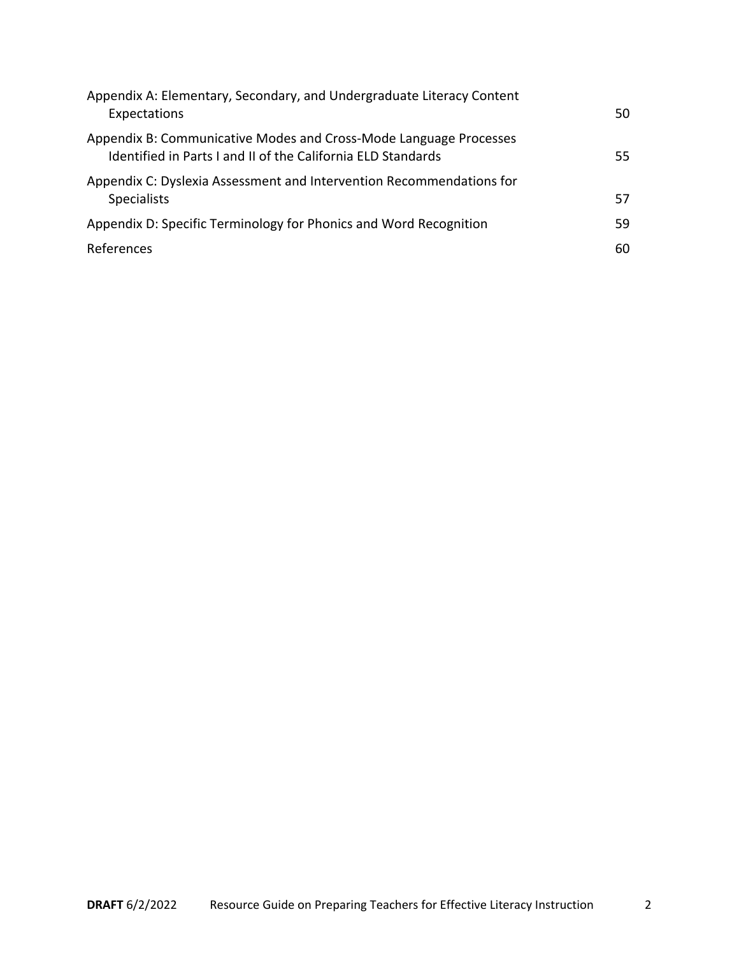| Appendix A: Elementary, Secondary, and Undergraduate Literacy Content<br>Expectations                                             | 50. |
|-----------------------------------------------------------------------------------------------------------------------------------|-----|
| Appendix B: Communicative Modes and Cross-Mode Language Processes<br>Identified in Parts I and II of the California ELD Standards | 55. |
| Appendix C: Dyslexia Assessment and Intervention Recommendations for<br><b>Specialists</b>                                        | 57  |
| Appendix D: Specific Terminology for Phonics and Word Recognition                                                                 | 59  |
| References                                                                                                                        | 60  |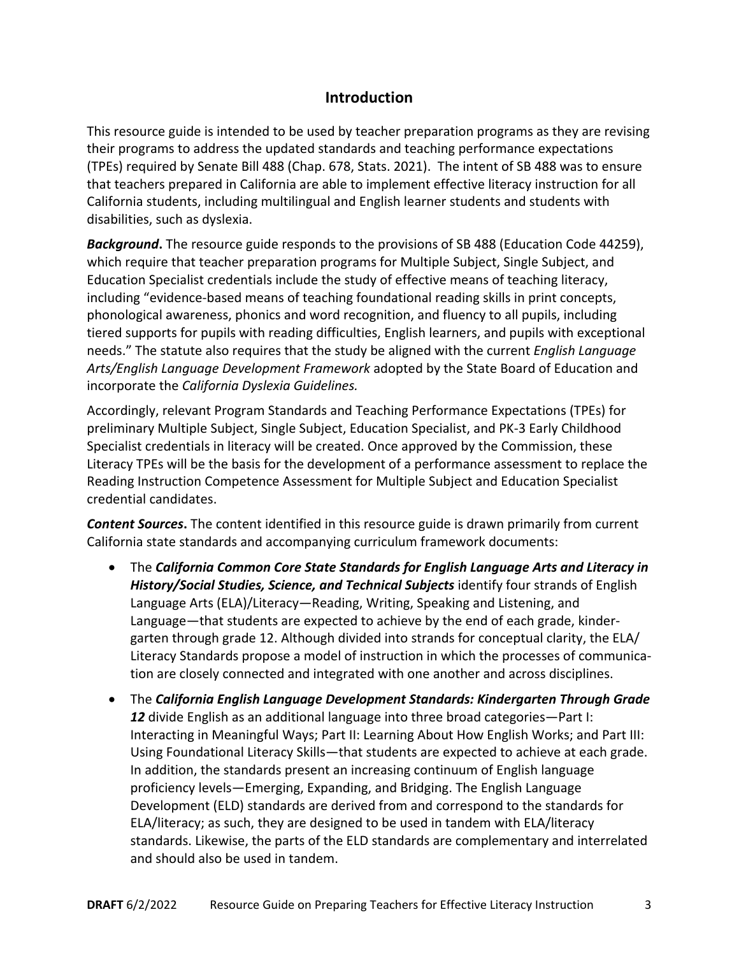## **Introduction**

This resource guide is intended to be used by teacher preparation programs as they are revising their programs to address the updated standards and teaching performance expectations (TPEs) required by Senate Bill 488 (Chap. 678, Stats. 2021). The intent of SB 488 was to ensure that teachers prepared in California are able to implement effective literacy instruction for all California students, including multilingual and English learner students and students with disabilities, such as dyslexia.

*Background***.** The resource guide responds to the provisions of SB 488 (Education Code 44259), which require that teacher preparation programs for Multiple Subject, Single Subject, and Education Specialist credentials include the study of effective means of teaching literacy, including "evidence-based means of teaching foundational reading skills in print concepts, phonological awareness, phonics and word recognition, and fluency to all pupils, including tiered supports for pupils with reading difficulties, English learners, and pupils with exceptional needs." The statute also requires that the study be aligned with the current *English Language Arts/English Language Development Framework* adopted by the State Board of Education and incorporate the *California Dyslexia Guidelines.* 

Accordingly, relevant Program Standards and Teaching Performance Expectations (TPEs) for preliminary Multiple Subject, Single Subject, Education Specialist, and PK-3 Early Childhood Specialist credentials in literacy will be created. Once approved by the Commission, these Literacy TPEs will be the basis for the development of a performance assessment to replace the Reading Instruction Competence Assessment for Multiple Subject and Education Specialist credential candidates.

*Content Sources***.** The content identified in this resource guide is drawn primarily from current California state standards and accompanying curriculum framework documents:

- The *California Common Core State Standards for English Language Arts and Literacy in History/Social Studies, Science, and Technical Subjects* identify four strands of English Language Arts (ELA)/Literacy—Reading, Writing, Speaking and Listening, and Language—that students are expected to achieve by the end of each grade, kindergarten through grade 12. Although divided into strands for conceptual clarity, the ELA/ Literacy Standards propose a model of instruction in which the processes of communication are closely connected and integrated with one another and across disciplines.
- The *California English Language Development Standards: Kindergarten Through Grade 12* divide English as an additional language into three broad categories—Part I: Interacting in Meaningful Ways; Part II: Learning About How English Works; and Part III: Using Foundational Literacy Skills—that students are expected to achieve at each grade. In addition, the standards present an increasing continuum of English language proficiency levels—Emerging, Expanding, and Bridging. The English Language Development (ELD) standards are derived from and correspond to the standards for ELA/literacy; as such, they are designed to be used in tandem with ELA/literacy standards. Likewise, the parts of the ELD standards are complementary and interrelated and should also be used in tandem.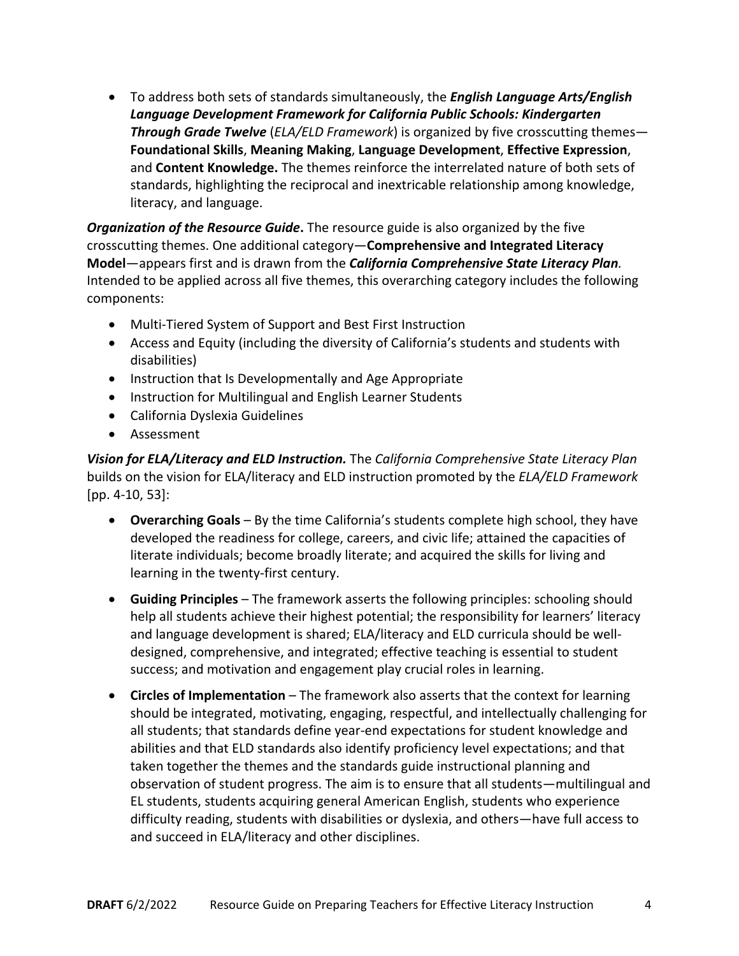• To address both sets of standards simultaneously, the *English Language Arts/English Language Development Framework for California Public Schools: Kindergarten Through Grade Twelve* (*ELA/ELD Framework*) is organized by five crosscutting themes— **Foundational Skills**, **Meaning Making**, **Language Development**, **Effective Expression**, and **Content Knowledge.** The themes reinforce the interrelated nature of both sets of standards, highlighting the reciprocal and inextricable relationship among knowledge, literacy, and language.

*Organization of the Resource Guide***.** The resource guide is also organized by the five crosscutting themes. One additional category—**Comprehensive and Integrated Literacy Model**—appears first and is drawn from the *California Comprehensive State Literacy Plan.*  Intended to be applied across all five themes, this overarching category includes the following components:

- Multi-Tiered System of Support and Best First Instruction
- Access and Equity (including the diversity of California's students and students with disabilities)
- Instruction that Is Developmentally and Age Appropriate
- Instruction for Multilingual and English Learner Students
- California Dyslexia Guidelines
- Assessment

*Vision for ELA/Literacy and ELD Instruction.* The *California Comprehensive State Literacy Plan* builds on the vision for ELA/literacy and ELD instruction promoted by the *ELA/ELD Framework*  [pp. 4-10, 53]:

- **Overarching Goals** By the time California's students complete high school, they have developed the readiness for college, careers, and civic life; attained the capacities of literate individuals; become broadly literate; and acquired the skills for living and learning in the twenty-first century.
- **Guiding Principles** The framework asserts the following principles: schooling should help all students achieve their highest potential; the responsibility for learners' literacy and language development is shared; ELA/literacy and ELD curricula should be welldesigned, comprehensive, and integrated; effective teaching is essential to student success; and motivation and engagement play crucial roles in learning.
- **Circles of Implementation**  The framework also asserts that the context for learning should be integrated, motivating, engaging, respectful, and intellectually challenging for all students; that standards define year-end expectations for student knowledge and abilities and that ELD standards also identify proficiency level expectations; and that taken together the themes and the standards guide instructional planning and observation of student progress. The aim is to ensure that all students—multilingual and EL students, students acquiring general American English, students who experience difficulty reading, students with disabilities or dyslexia, and others—have full access to and succeed in ELA/literacy and other disciplines.